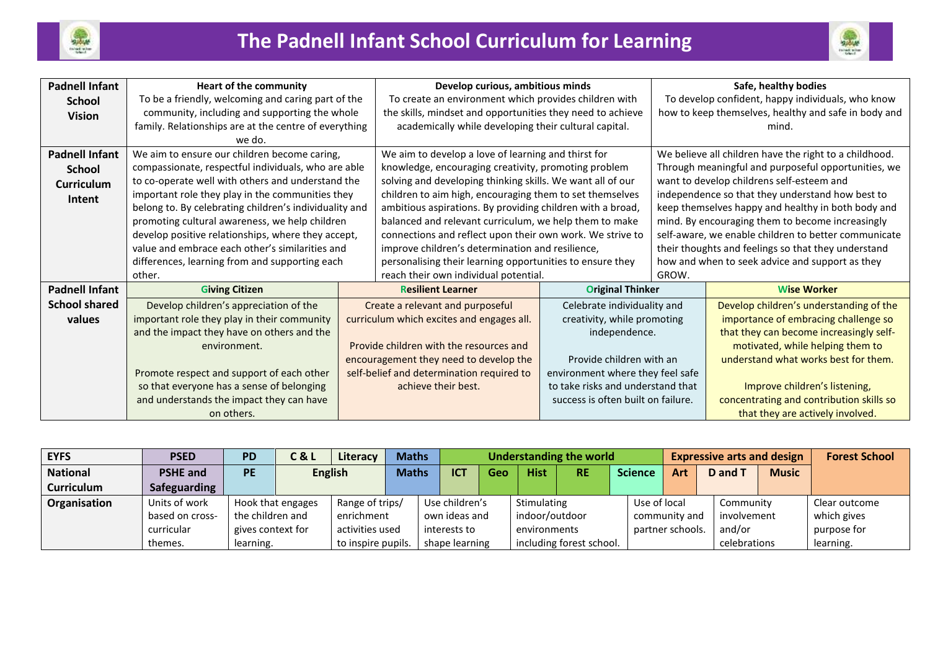



| <b>Padnell Infant</b> | <b>Heart of the community</b>                          | Develop curious, ambitious minds                           |                                    |                                                        | Safe, healthy bodies                      |  |  |  |
|-----------------------|--------------------------------------------------------|------------------------------------------------------------|------------------------------------|--------------------------------------------------------|-------------------------------------------|--|--|--|
| <b>School</b>         | To be a friendly, welcoming and caring part of the     | To create an environment which provides children with      |                                    | To develop confident, happy individuals, who know      |                                           |  |  |  |
| <b>Vision</b>         | community, including and supporting the whole          | the skills, mindset and opportunities they need to achieve |                                    | how to keep themselves, healthy and safe in body and   |                                           |  |  |  |
|                       | family. Relationships are at the centre of everything  | academically while developing their cultural capital.      |                                    | mind.                                                  |                                           |  |  |  |
|                       | we do.                                                 |                                                            |                                    |                                                        |                                           |  |  |  |
| <b>Padnell Infant</b> | We aim to ensure our children become caring,           | We aim to develop a love of learning and thirst for        |                                    | We believe all children have the right to a childhood. |                                           |  |  |  |
| <b>School</b>         | compassionate, respectful individuals, who are able    | knowledge, encouraging creativity, promoting problem       |                                    | Through meaningful and purposeful opportunities, we    |                                           |  |  |  |
| Curriculum            | to co-operate well with others and understand the      | solving and developing thinking skills. We want all of our |                                    |                                                        | want to develop childrens self-esteem and |  |  |  |
| Intent                | important role they play in the communities they       | children to aim high, encouraging them to set themselves   |                                    | independence so that they understand how best to       |                                           |  |  |  |
|                       | belong to. By celebrating children's individuality and | ambitious aspirations. By providing children with a broad, |                                    | keep themselves happy and healthy in both body and     |                                           |  |  |  |
|                       | promoting cultural awareness, we help children         | balanced and relevant curriculum, we help them to make     |                                    | mind. By encouraging them to become increasingly       |                                           |  |  |  |
|                       | develop positive relationships, where they accept,     | connections and reflect upon their own work. We strive to  |                                    | self-aware, we enable children to better communicate   |                                           |  |  |  |
|                       | value and embrace each other's similarities and        | improve children's determination and resilience,           |                                    | their thoughts and feelings so that they understand    |                                           |  |  |  |
|                       | differences, learning from and supporting each         | personalising their learning opportunities to ensure they  |                                    | how and when to seek advice and support as they        |                                           |  |  |  |
|                       | other.                                                 | reach their own individual potential.                      |                                    | GROW.                                                  |                                           |  |  |  |
| <b>Padnell Infant</b> | <b>Giving Citizen</b>                                  | <b>Resilient Learner</b>                                   | <b>Original Thinker</b>            |                                                        | <b>Wise Worker</b>                        |  |  |  |
| <b>School shared</b>  | Develop children's appreciation of the                 | Create a relevant and purposeful                           | Celebrate individuality and        |                                                        | Develop children's understanding of the   |  |  |  |
| values                | important role they play in their community            | curriculum which excites and engages all.                  | creativity, while promoting        |                                                        | importance of embracing challenge so      |  |  |  |
|                       | and the impact they have on others and the             |                                                            | independence.                      |                                                        | that they can become increasingly self-   |  |  |  |
|                       | environment.                                           | Provide children with the resources and                    |                                    |                                                        | motivated, while helping them to          |  |  |  |
|                       |                                                        | encouragement they need to develop the                     | Provide children with an           |                                                        | understand what works best for them.      |  |  |  |
|                       | Promote respect and support of each other              | self-belief and determination required to                  | environment where they feel safe   |                                                        |                                           |  |  |  |
|                       | so that everyone has a sense of belonging              | achieve their best.                                        | to take risks and understand that  |                                                        | Improve children's listening,             |  |  |  |
|                       | and understands the impact they can have               |                                                            | success is often built on failure. |                                                        | concentrating and contribution skills so  |  |  |  |
|                       | on others.                                             |                                                            |                                    |                                                        | that they are actively involved.          |  |  |  |

| <b>EYFS</b>       | <b>PSED</b>     | <b>PD</b>        | C & L                                | Literacy       | <b>Maths</b>  |                            |                | Understanding the world |                          |  |                  |     | <b>Expressive arts and design</b> | <b>Forest School</b> |               |
|-------------------|-----------------|------------------|--------------------------------------|----------------|---------------|----------------------------|----------------|-------------------------|--------------------------|--|------------------|-----|-----------------------------------|----------------------|---------------|
| <b>National</b>   | <b>PSHE and</b> | <b>PE</b>        |                                      | <b>English</b> |               | <b>ICT</b><br><b>Maths</b> | Geo            | <b>Hist</b>             | <b>RE</b>                |  | <b>Science</b>   | Art | D and T                           | <b>Music</b>         |               |
| <b>Curriculum</b> | Safeguarding    |                  |                                      |                |               |                            |                |                         |                          |  |                  |     |                                   |                      |               |
| Organisation      | Units of work   |                  | Range of trips/<br>Hook that engages |                |               | Use children's             |                | Stimulating             |                          |  | Use of local     |     | Community                         |                      | Clear outcome |
|                   | based on cross- | the children and |                                      | enrichment     | own ideas and |                            |                | indoor/outdoor          |                          |  | community and    |     | involvement                       |                      | which gives   |
|                   | curricular      |                  | gives context for<br>activities used |                |               | interests to               |                | environments            |                          |  | partner schools. |     | and/or                            |                      | purpose for   |
|                   | themes.         | learning.        | to inspire pupils.                   |                |               |                            | shape learning |                         | including forest school. |  |                  |     | celebrations                      |                      | learning.     |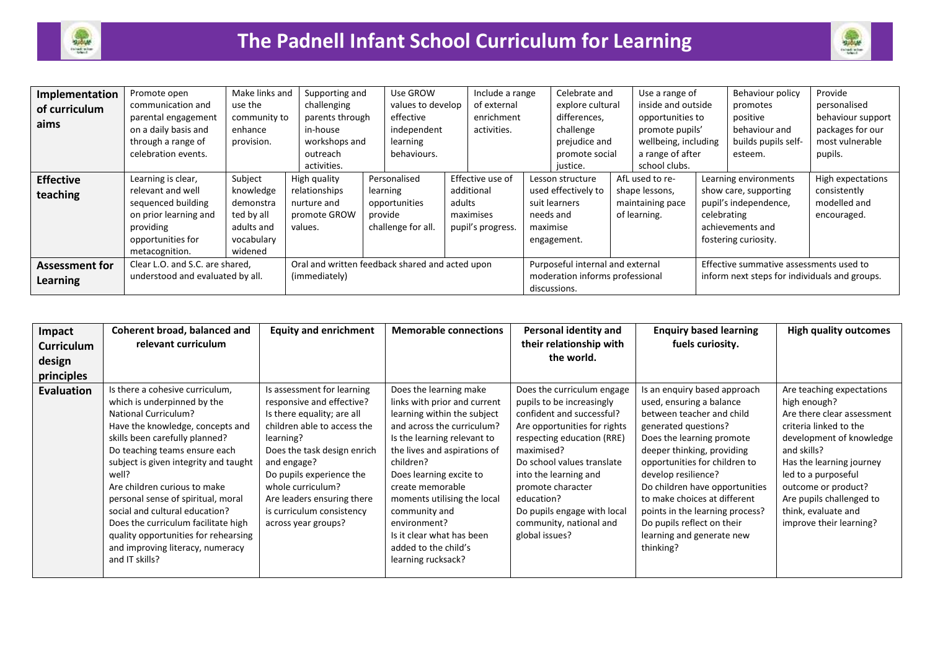



| Implementation        | Promote open                     | Make links and | Supporting and                                  | Use GROW           |  | Include a range                  |                                 | Celebrate and       |  | Use a range of                                |  | Behaviour policy      | Provide           |
|-----------------------|----------------------------------|----------------|-------------------------------------------------|--------------------|--|----------------------------------|---------------------------------|---------------------|--|-----------------------------------------------|--|-----------------------|-------------------|
| of curriculum         | communication and                | use the        | challenging                                     | values to develop  |  | of external                      |                                 | explore cultural    |  | inside and outside                            |  | promotes              | personalised      |
| aims                  | parental engagement              | community to   | parents through                                 | effective          |  | enrichment                       |                                 | differences.        |  | opportunities to                              |  | positive              | behaviour support |
|                       | on a daily basis and             | enhance        | in-house                                        | independent        |  | activities.                      |                                 | challenge           |  | promote pupils'                               |  | behaviour and         | packages for our  |
|                       | through a range of               | provision.     | workshops and                                   | learning           |  |                                  |                                 | prejudice and       |  | wellbeing, including                          |  | builds pupils self-   | most vulnerable   |
|                       | celebration events.              |                | outreach                                        | behaviours.        |  |                                  |                                 | promote social      |  | a range of after                              |  | esteem.               | pupils.           |
|                       |                                  |                | activities.                                     |                    |  |                                  |                                 | justice.            |  | school clubs.                                 |  |                       |                   |
| <b>Effective</b>      | Learning is clear,               | Subject        | High quality                                    | Personalised       |  | Effective use of                 |                                 | Lesson structure    |  | AfL used to re-                               |  | Learning environments | High expectations |
| teaching              | relevant and well                | knowledge      | relationships                                   | learning           |  | additional<br>adults             |                                 | used effectively to |  | shape lessons,                                |  | show care, supporting | consistently      |
|                       | sequenced building               | demonstra      | nurture and                                     | opportunities      |  |                                  |                                 | suit learners       |  | maintaining pace                              |  | pupil's independence, | modelled and      |
|                       | on prior learning and            | ted by all     | promote GROW                                    | provide            |  | maximises                        | needs and                       |                     |  | of learning.                                  |  | celebrating           | encouraged.       |
|                       | providing                        | adults and     | values.                                         | challenge for all. |  | pupil's progress.                | maximise                        |                     |  |                                               |  | achievements and      |                   |
|                       | opportunities for                | vocabulary     |                                                 |                    |  |                                  |                                 | engagement.         |  |                                               |  | fostering curiosity.  |                   |
|                       | metacognition.                   | widened        |                                                 |                    |  |                                  |                                 |                     |  |                                               |  |                       |                   |
| <b>Assessment for</b> | Clear L.O. and S.C. are shared,  |                | Oral and written feedback shared and acted upon |                    |  | Purposeful internal and external |                                 |                     |  | Effective summative assessments used to       |  |                       |                   |
| Learning              | understood and evaluated by all. |                | (immediately)                                   |                    |  |                                  | moderation informs professional |                     |  | inform next steps for individuals and groups. |  |                       |                   |
|                       |                                  |                |                                                 |                    |  |                                  |                                 | discussions.        |  |                                               |  |                       |                   |

| Impact<br><b>Curriculum</b> | Coherent broad, balanced and<br>relevant curriculum                                                                                                                                                                                                                                                                                                                                                                                                                                                 | <b>Equity and enrichment</b>                                                                                                                                                                                                                                                                                       | <b>Memorable connections</b>                                                                                                                                                                                                                                                                                                                                                              | Personal identity and<br>their relationship with                                                                                                                                                                                                                                                                                       | <b>Enquiry based learning</b><br>fuels curiosity.                                                                                                                                                                                                                                                                                                                                                             | <b>High quality outcomes</b>                                                                                                                                                                                                                                                                         |
|-----------------------------|-----------------------------------------------------------------------------------------------------------------------------------------------------------------------------------------------------------------------------------------------------------------------------------------------------------------------------------------------------------------------------------------------------------------------------------------------------------------------------------------------------|--------------------------------------------------------------------------------------------------------------------------------------------------------------------------------------------------------------------------------------------------------------------------------------------------------------------|-------------------------------------------------------------------------------------------------------------------------------------------------------------------------------------------------------------------------------------------------------------------------------------------------------------------------------------------------------------------------------------------|----------------------------------------------------------------------------------------------------------------------------------------------------------------------------------------------------------------------------------------------------------------------------------------------------------------------------------------|---------------------------------------------------------------------------------------------------------------------------------------------------------------------------------------------------------------------------------------------------------------------------------------------------------------------------------------------------------------------------------------------------------------|------------------------------------------------------------------------------------------------------------------------------------------------------------------------------------------------------------------------------------------------------------------------------------------------------|
| design                      |                                                                                                                                                                                                                                                                                                                                                                                                                                                                                                     |                                                                                                                                                                                                                                                                                                                    |                                                                                                                                                                                                                                                                                                                                                                                           | the world.                                                                                                                                                                                                                                                                                                                             |                                                                                                                                                                                                                                                                                                                                                                                                               |                                                                                                                                                                                                                                                                                                      |
| principles                  |                                                                                                                                                                                                                                                                                                                                                                                                                                                                                                     |                                                                                                                                                                                                                                                                                                                    |                                                                                                                                                                                                                                                                                                                                                                                           |                                                                                                                                                                                                                                                                                                                                        |                                                                                                                                                                                                                                                                                                                                                                                                               |                                                                                                                                                                                                                                                                                                      |
| <b>Evaluation</b>           | Is there a cohesive curriculum,<br>which is underpinned by the<br><b>National Curriculum?</b><br>Have the knowledge, concepts and<br>skills been carefully planned?<br>Do teaching teams ensure each<br>subject is given integrity and taught<br>well?<br>Are children curious to make<br>personal sense of spiritual, moral<br>social and cultural education?<br>Does the curriculum facilitate high<br>quality opportunities for rehearsing<br>and improving literacy, numeracy<br>and IT skills? | Is assessment for learning<br>responsive and effective?<br>Is there equality; are all<br>children able to access the<br>learning?<br>Does the task design enrich<br>and engage?<br>Do pupils experience the<br>whole curriculum?<br>Are leaders ensuring there<br>is curriculum consistency<br>across year groups? | Does the learning make<br>links with prior and current<br>learning within the subject<br>and across the curriculum?<br>Is the learning relevant to<br>the lives and aspirations of<br>children?<br>Does learning excite to<br>create memorable<br>moments utilising the local<br>community and<br>environment?<br>Is it clear what has been<br>added to the child's<br>learning rucksack? | Does the curriculum engage<br>pupils to be increasingly<br>confident and successful?<br>Are opportunities for rights<br>respecting education (RRE)<br>maximised?<br>Do school values translate<br>into the learning and<br>promote character<br>education?<br>Do pupils engage with local<br>community, national and<br>global issues? | Is an enquiry based approach<br>used, ensuring a balance<br>between teacher and child<br>generated questions?<br>Does the learning promote<br>deeper thinking, providing<br>opportunities for children to<br>develop resilience?<br>Do children have opportunities<br>to make choices at different<br>points in the learning process?<br>Do pupils reflect on their<br>learning and generate new<br>thinking? | Are teaching expectations<br>high enough?<br>Are there clear assessment<br>criteria linked to the<br>development of knowledge<br>and skills?<br>Has the learning journey<br>led to a purposeful<br>outcome or product?<br>Are pupils challenged to<br>think, evaluate and<br>improve their learning? |